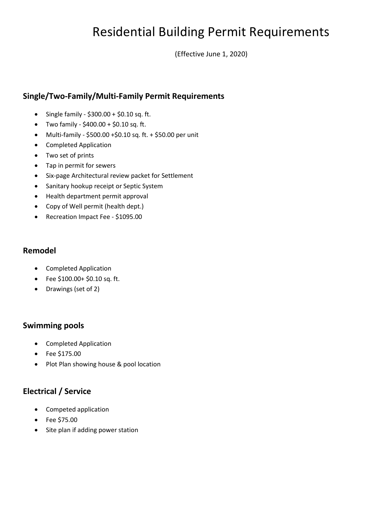# Residential Building Permit Requirements

(Effective June 1, 2020)

# **Single/Two-Family/Multi-Family Permit Requirements**

- Single family  $$300.00 + $0.10$  sq. ft.
- Two family \$400.00 + \$0.10 sq. ft.
- Multi-family \$500.00 +\$0.10 sq. ft. + \$50.00 per unit
- Completed Application
- Two set of prints
- Tap in permit for sewers
- Six-page Architectural review packet for Settlement
- Sanitary hookup receipt or Septic System
- Health department permit approval
- Copy of Well permit (health dept.)
- Recreation Impact Fee \$1095.00

#### **Remodel**

- Completed Application
- Fee \$100.00+ \$0.10 sq. ft.
- Drawings (set of 2)

# **Swimming pools**

- Completed Application
- Fee \$175.00
- Plot Plan showing house & pool location

# **Electrical / Service**

- Competed application
- Fee \$75.00
- Site plan if adding power station